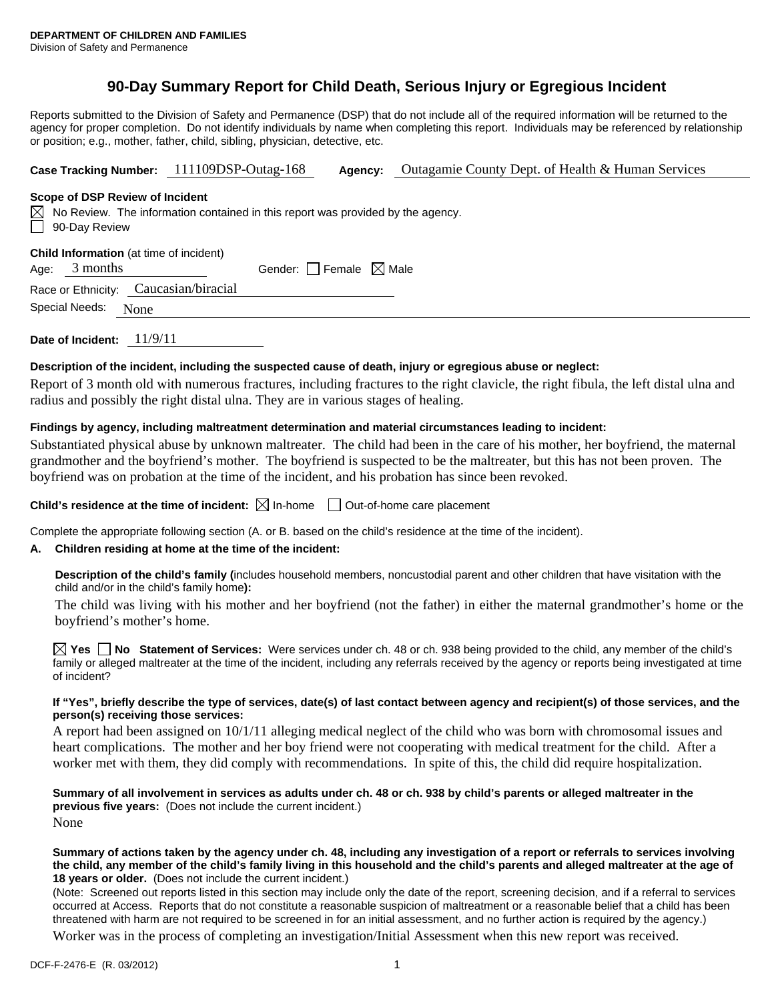# **90-Day Summary Report for Child Death, Serious Injury or Egregious Incident**

Reports submitted to the Division of Safety and Permanence (DSP) that do not include all of the required information will be returned to the agency for proper completion. Do not identify individuals by name when completing this report. Individuals may be referenced by relationship or position; e.g., mother, father, child, sibling, physician, detective, etc.

**Case Tracking Number:** 111109DSP-Outag-168 **Agency:** Outagamie County Dept. of Health & Human Services

### **Scope of DSP Review of Incident**

 $\boxtimes$  No Review. The information contained in this report was provided by the agency. 90-Day Review

#### **Child Information** (at time of incident)

Age:  $3$  months Gender:  $\Box$  Female  $\boxtimes$  Male

Race or Ethnicity: Caucasian/biracial

Special Needs: None

**Date of Incident:** 11/9/11

# **Description of the incident, including the suspected cause of death, injury or egregious abuse or neglect:**

Report of 3 month old with numerous fractures, including fractures to the right clavicle, the right fibula, the left distal ulna and radius and possibly the right distal ulna. They are in various stages of healing.

# **Findings by agency, including maltreatment determination and material circumstances leading to incident:**

Substantiated physical abuse by unknown maltreater. The child had been in the care of his mother, her boyfriend, the maternal grandmother and the boyfriend's mother. The boyfriend is suspected to be the maltreater, but this has not been proven. The boyfriend was on probation at the time of the incident, and his probation has since been revoked.

**Child's residence at the time of incident:**  $\boxtimes$  In-home  $\Box$  Out-of-home care placement

Complete the appropriate following section (A. or B. based on the child's residence at the time of the incident).

# **A. Children residing at home at the time of the incident:**

**Description of the child's family (**includes household members, noncustodial parent and other children that have visitation with the child and/or in the child's family home**):** 

The child was living with his mother and her boyfriend (not the father) in either the maternal grandmother's home or the boyfriend's mother's home.

**Yes No Statement of Services:** Were services under ch. 48 or ch. 938 being provided to the child, any member of the child's family or alleged maltreater at the time of the incident, including any referrals received by the agency or reports being investigated at time of incident?

### **If "Yes", briefly describe the type of services, date(s) of last contact between agency and recipient(s) of those services, and the person(s) receiving those services:**

A report had been assigned on 10/1/11 alleging medical neglect of the child who was born with chromosomal issues and heart complications. The mother and her boy friend were not cooperating with medical treatment for the child. After a worker met with them, they did comply with recommendations. In spite of this, the child did require hospitalization.

**Summary of all involvement in services as adults under ch. 48 or ch. 938 by child's parents or alleged maltreater in the previous five years:** (Does not include the current incident.) None

#### **Summary of actions taken by the agency under ch. 48, including any investigation of a report or referrals to services involving the child, any member of the child's family living in this household and the child's parents and alleged maltreater at the age of 18 years or older.** (Does not include the current incident.)

(Note: Screened out reports listed in this section may include only the date of the report, screening decision, and if a referral to services occurred at Access. Reports that do not constitute a reasonable suspicion of maltreatment or a reasonable belief that a child has been threatened with harm are not required to be screened in for an initial assessment, and no further action is required by the agency.)

Worker was in the process of completing an investigation/Initial Assessment when this new report was received.